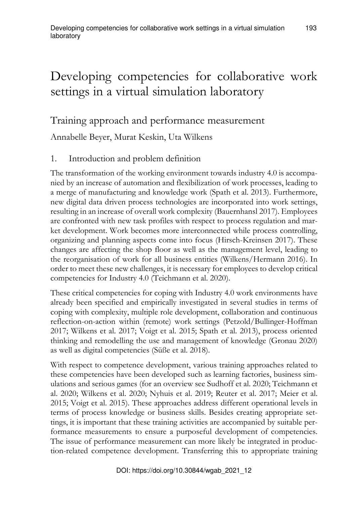# Developing competencies for collaborative work settings in a virtual simulation laboratory

# Training approach and performance measurement

Annabelle Beyer, Murat Keskin, Uta Wilkens

## 1. Introduction and problem definition

The transformation of the working environment towards industry 4.0 is accompanied by an increase of automation and flexibilization of work processes, leading to a merge of manufacturing and knowledge work (Spath et al. 2013). Furthermore, new digital data driven process technologies are incorporated into work settings, resulting in an increase of overall work complexity (Bauernhansl 2017). Employees are confronted with new task profiles with respect to process regulation and market development. Work becomes more interconnected while process controlling, organizing and planning aspects come into focus (Hirsch-Kreinsen 2017). These changes are affecting the shop floor as well as the management level, leading to the reorganisation of work for all business entities (Wilkens/Hermann 2016). In order to meet these new challenges, it is necessary for employees to develop critical competencies for Industry 4.0 (Teichmann et al. 2020).

These critical competencies for coping with Industry 4.0 work environments have already been specified and empirically investigated in several studies in terms of coping with complexity, multiple role development, collaboration and continuous reflection-on-action within (remote) work settings (Petzold/Bullinger-Hoffman 2017; Wilkens et al. 2017; Voigt et al. 2015; Spath et al. 2013), process oriented thinking and remodelling the use and management of knowledge (Gronau 2020) as well as digital competencies (Süße et al. 2018).

With respect to competence development, various training approaches related to these competencies have been developed such as learning factories, business simulations and serious games (for an overview see Sudhoff et al. 2020; Teichmann et al. 2020; Wilkens et al. 2020; Nyhuis et al. 2019; Reuter et al. 2017; Meier et al. 2015; Voigt et al. 2015). These approaches address different operational levels in terms of process knowledge or business skills. Besides creating appropriate settings, it is important that these training activities are accompanied by suitable performance measurements to ensure a purposeful development of competencies. The issue of performance measurement can more likely be integrated in production-related competence development. Transferring this to appropriate training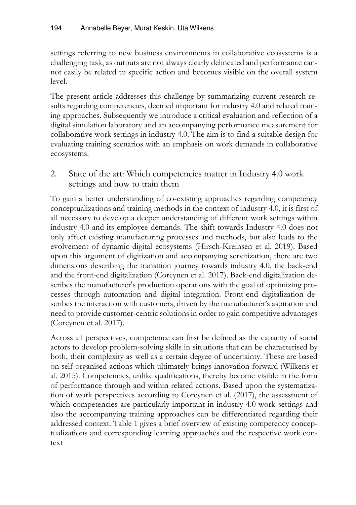settings referring to new business environments in collaborative ecosystems is a challenging task, as outputs are not always clearly delineated and performance cannot easily be related to specific action and becomes visible on the overall system level.

The present article addresses this challenge by summarizing current research results regarding competencies, deemed important for industry 4.0 and related training approaches. Subsequently we introduce a critical evaluation and reflection of a digital simulation laboratory and an accompanying performance measurement for collaborative work settings in industry 4.0. The aim is to find a suitable design for evaluating training scenarios with an emphasis on work demands in collaborative ecosystems.

2. State of the art: Which competencies matter in Industry 4.0 work settings and how to train them

To gain a better understanding of co-existing approaches regarding competency conceptualizations and training methods in the context of industry 4.0, it is first of all necessary to develop a deeper understanding of different work settings within industry 4.0 and its employee demands. The shift towards Industry 4.0 does not only affect existing manufacturing processes and methods, but also leads to the evolvement of dynamic digital ecosystems (Hirsch-Kreinsen et al. 2019). Based upon this argument of digitization and accompanying servitization, there are two dimensions describing the transition journey towards industry 4.0, the back-end and the front-end digitalization (Coreynen et al. 2017). Back-end digitalization describes the manufacturer's production operations with the goal of optimizing processes through automation and digital integration. Front-end digitalization describes the interaction with customers, driven by the manufacturer's aspiration and need to provide customer-centric solutions in order to gain competitive advantages (Coreynen et al. 2017).

Across all perspectives, competence can first be defined as the capacity of social actors to develop problem-solving skills in situations that can be characterised by both, their complexity as well as a certain degree of uncertainty. These are based on self-organised actions which ultimately brings innovation forward (Wilkens et al. 2015). Competencies, unlike qualifications, thereby become visible in the form of performance through and within related actions. Based upon the systematization of work perspectives according to Coreynen et al. (2017), the assessment of which competencies are particularly important in industry 4.0 work settings and also the accompanying training approaches can be differentiated regarding their addressed context. Table 1 gives a brief overview of existing competency conceptualizations and corresponding learning approaches and the respective work context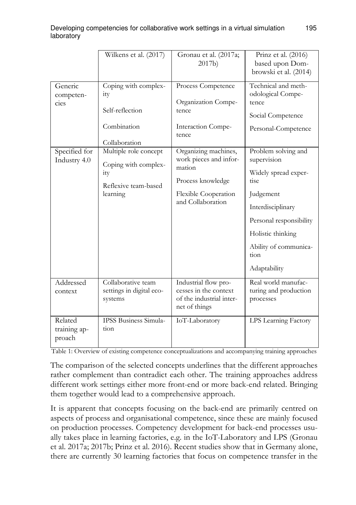|                                   | Wilkens et al. (2017)                                                                    | Gronau et al. (2017a;<br>2017b)                                                                                            | Prinz et al. (2016)<br>based upon Dom-<br>browski et al. (2014)                                                                                                                                        |
|-----------------------------------|------------------------------------------------------------------------------------------|----------------------------------------------------------------------------------------------------------------------------|--------------------------------------------------------------------------------------------------------------------------------------------------------------------------------------------------------|
| Generic<br>competen-<br>cies      | Coping with complex-<br>ity<br>Self-reflection<br>Combination<br>Collaboration           | Process Competence<br>Organization Compe-<br>tence<br>Interaction Compe-<br>tence                                          | Technical and meth-<br>odological Compe-<br>tence.<br>Social Competence<br>Personal-Competence                                                                                                         |
| Specified for<br>Industry 4.0     | Multiple role concept<br>Coping with complex-<br>ity<br>Reflexive team-based<br>learning | Organizing machines,<br>work pieces and infor-<br>mation<br>Process knowledge<br>Flexible Cooperation<br>and Collaboration | Problem solving and<br>supervision<br>Widely spread exper-<br>tise.<br>Judgement<br>Interdisciplinary<br>Personal responsibility<br>Holistic thinking<br>Ability of communica-<br>tion<br>Adaptability |
| Addressed<br>context              | Collaborative team<br>settings in digital eco-<br>systems                                | Industrial flow pro-<br>cesses in the context<br>of the industrial inter-<br>net of things                                 | Real world manufac-<br>turing and production<br>processes                                                                                                                                              |
| Related<br>training ap-<br>proach | <b>IPSS Business Simula-</b><br>tion                                                     | IoT-Laboratory                                                                                                             | LPS Learning Factory                                                                                                                                                                                   |

Table 1: Overview of existing competence conceptualizations and accompanying training approaches

The comparison of the selected concepts underlines that the different approaches rather complement than contradict each other. The training approaches address different work settings either more front-end or more back-end related. Bringing them together would lead to a comprehensive approach.

It is apparent that concepts focusing on the back-end are primarily centred on aspects of process and organisational competence, since these are mainly focused on production processes. Competency development for back-end processes usually takes place in learning factories, e.g. in the IoT-Laboratory and LPS (Gronau et al. 2017a; 2017b; Prinz et al. 2016). Recent studies show that in Germany alone, there are currently 30 learning factories that focus on competence transfer in the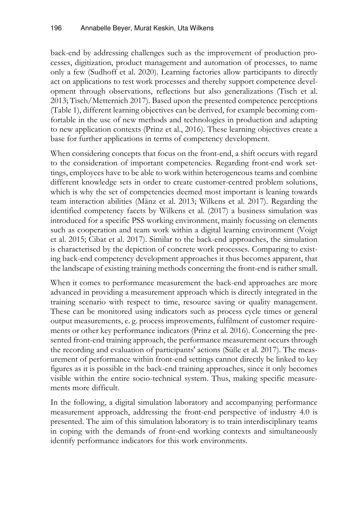back-end by addressing challenges such as the improvement of production processes, digitization, product management and automation of processes, to name only a few (Sudhoff et al. 2020). Learning factories allow participants to directly act on applications to test work processes and thereby support competence development through observations, reflections but also generalizations (Tisch et al. 2013; Tisch/Metternich 2017). Based upon the presented competence perceptions (Table 1), different learning objectives can be derived, for example becoming comfortable in the use of new methods and technologies in production and adapting to new application contexts (Prinz et al., 2016). These learning objectives create a base for further applications in terms of competency development.

When considering concepts that focus on the front-end, a shift occurs with regard to the consideration of important competencies. Regarding front-end work settings, employees have to be able to work within heterogeneous teams and combine different knowledge sets in order to create customer-centred problem solutions, which is why the set of competencies deemed most important is leaning towards team interaction abilities (Mänz et al. 2013; Wilkens et al. 2017). Regarding the identified competency facets by Wilkens et al. (2017) a business simulation was introduced for a specific PSS working environment, mainly focussing on elements such as cooperation and team work within a digital learning environment (Voigt et al. 2015; Cibat et al. 2017). Similar to the back-end approaches, the simulation is characterised by the depiction of concrete work processes. Comparing to existing back-end competency development approaches it thus becomes apparent, that the landscape of existing training methods concerning the front-end is rather small.

When it comes to performance measurement the back-end approaches are more advanced in providing a measurement approach which is directly integrated in the training scenario with respect to time, resource saving or quality management. These can be monitored using indicators such as process cycle times or general output measurements, e. g. process improvements, fulfilment of customer requirements or other key performance indicators (Prinz et al. 2016). Concerning the presented front-end training approach, the performance measurement occurs through the recording and evaluation of participants' actions (Süße et al. 2017). The measurement of performance within front-end settings cannot directly be linked to key figures as it is possible in the back-end training approaches, since it only becomes visible within the entire socio-technical system. Thus, making specific measurements more difficult.

In the following, a digital simulation laboratory and accompanying performance measurement approach, addressing the front-end perspective of industry 4.0 is presented. The aim of this simulation laboratory is to train interdisciplinary teams in coping with the demands of front-end working contexts and simultaneously identify performance indicators for this work environments.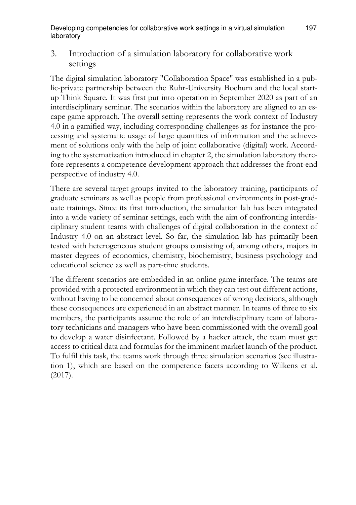3. Introduction of a simulation laboratory for collaborative work settings

The digital simulation laboratory "Collaboration Space" was established in a public-private partnership between the Ruhr-University Bochum and the local startup Think Square. It was first put into operation in September 2020 as part of an interdisciplinary seminar. The scenarios within the laboratory are aligned to an escape game approach. The overall setting represents the work context of Industry 4.0 in a gamified way, including corresponding challenges as for instance the processing and systematic usage of large quantities of information and the achievement of solutions only with the help of joint collaborative (digital) work. According to the systematization introduced in chapter 2, the simulation laboratory therefore represents a competence development approach that addresses the front-end perspective of industry 4.0.

There are several target groups invited to the laboratory training, participants of graduate seminars as well as people from professional environments in post-graduate trainings. Since its first introduction, the simulation lab has been integrated into a wide variety of seminar settings, each with the aim of confronting interdisciplinary student teams with challenges of digital collaboration in the context of Industry 4.0 on an abstract level. So far, the simulation lab has primarily been tested with heterogeneous student groups consisting of, among others, majors in master degrees of economics, chemistry, biochemistry, business psychology and educational science as well as part-time students.

The different scenarios are embedded in an online game interface. The teams are provided with a protected environment in which they can test out different actions, without having to be concerned about consequences of wrong decisions, although these consequences are experienced in an abstract manner. In teams of three to six members, the participants assume the role of an interdisciplinary team of laboratory technicians and managers who have been commissioned with the overall goal to develop a water disinfectant. Followed by a hacker attack, the team must get access to critical data and formulas for the imminent market launch of the product. To fulfil this task, the teams work through three simulation scenarios (see illustration 1), which are based on the competence facets according to Wilkens et al. (2017).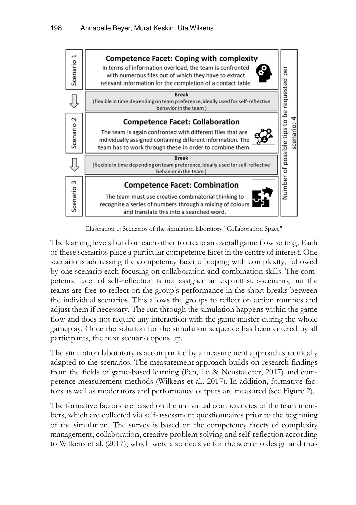

Illustration 1: Scenarios of the simulation laboratory "Collaboration Space"

The learning levels build on each other to create an overall game flow setting. Each of these scenarios place a particular competence facet in the centre of interest. One scenario is addressing the competency facet of coping with complexity, followed by one scenario each focusing on collaboration and combination skills. The competence facet of self-reflection is not assigned an explicit sub-scenario, but the teams are free to reflect on the group's performance in the short breaks between the individual scenarios. This allows the groups to reflect on action routines and adjust them if necessary. The run through the simulation happens within the game flow and does not require any interaction with the game master during the whole gameplay. Once the solution for the simulation sequence has been entered by all participants, the next scenario opens up.

The simulation laboratory is accompanied by a measurement approach specifically adapted to the scenarios. The measurement approach builds on research findings from the fields of game-based learning (Pan, Lo & Neustaedter, 2017) and competence measurement methods (Wilkens et al., 2017). In addition, formative factors as well as moderators and performance outputs are measured (see Figure 2).

The formative factors are based on the individual competencies of the team members, which are collected via self-assessment questionnaires prior to the beginning of the simulation. The survey is based on the competency facets of complexity management, collaboration, creative problem solving and self-reflection according to Wilkens et al. (2017), which were also decisive for the scenario design and thus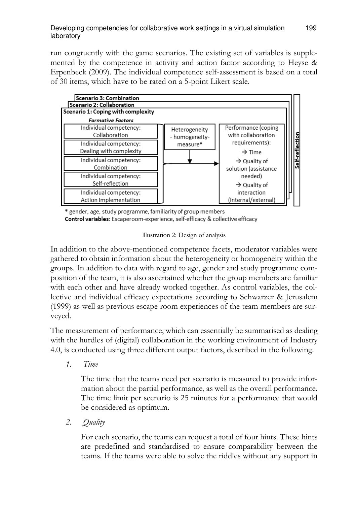run congruently with the game scenarios. The existing set of variables is supplemented by the competence in activity and action factor according to Heyse & Erpenbeck (2009). The individual competence self-assessment is based on a total of 30 items, which have to be rated on a 5-point Likert scale.



\* gender, age, study programme, familiarity of group members Control variables: Escaperoom-experience, self-efficacy & collective efficacy

lllustration 2: Design of analysis

In addition to the above-mentioned competence facets, moderator variables were gathered to obtain information about the heterogeneity or homogeneity within the groups. In addition to data with regard to age, gender and study programme composition of the team, it is also ascertained whether the group members are familiar with each other and have already worked together. As control variables, the collective and individual efficacy expectations according to Schwarzer & Jerusalem (1999) as well as previous escape room experiences of the team members are surveyed.

The measurement of performance, which can essentially be summarised as dealing with the hurdles of (digital) collaboration in the working environment of Industry 4.0, is conducted using three different output factors, described in the following.

*1. Time* 

The time that the teams need per scenario is measured to provide information about the partial performance, as well as the overall performance. The time limit per scenario is 25 minutes for a performance that would be considered as optimum.

*2. Quality* 

For each scenario, the teams can request a total of four hints. These hints are predefined and standardised to ensure comparability between the teams. If the teams were able to solve the riddles without any support in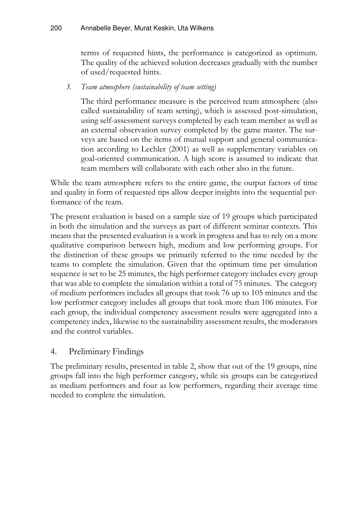terms of requested hints, the performance is categorized as optimum. The quality of the achieved solution decreases gradually with the number of used/requested hints.

### *3. Team atmosphere (sustainability of team setting)*

The third performance measure is the perceived team atmosphere (also called sustainability of team setting), which is assessed post-simulation, using self-assessment surveys completed by each team member as well as an external observation survey completed by the game master. The surveys are based on the items of mutual support and general communication according to Lechler (2001) as well as supplementary variables on goal-oriented communication. A high score is assumed to indicate that team members will collaborate with each other also in the future.

While the team atmosphere refers to the entire game, the output factors of time and quality in form of requested tips allow deeper insights into the sequential performance of the team.

The present evaluation is based on a sample size of 19 groups which participated in both the simulation and the surveys as part of different seminar contexts. This means that the presented evaluation is a work in progress and has to rely on a more qualitative comparison between high, medium and low performing groups. For the distinction of these groups we primarily referred to the time needed by the teams to complete the simulation. Given that the optimum time per simulation sequence is set to be 25 minutes, the high performer category includes every group that was able to complete the simulation within a total of 75 minutes. The category of medium performers includes all groups that took 76 up to 105 minutes and the low performer category includes all groups that took more than 106 minutes. For each group, the individual competency assessment results were aggregated into a competency index, likewise to the sustainability assessment results, the moderators and the control variables.

### 4. Preliminary Findings

The preliminary results, presented in table 2, show that out of the 19 groups, nine groups fall into the high performer category, while six groups can be categorized as medium performers and four as low performers, regarding their average time needed to complete the simulation.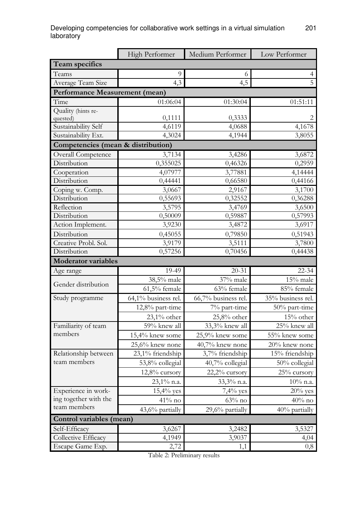|                                    | High Performer      | Medium Performer    | Low Performer     |
|------------------------------------|---------------------|---------------------|-------------------|
| Team specifics                     |                     |                     |                   |
| Teams                              | 9                   | 6                   | $\overline{4}$    |
| Average Team Size                  | 4.3                 | 4.5                 | 5                 |
| Performance Measurement (mean)     |                     |                     |                   |
| Time                               | 01:06:04            | 01:30:04            | 01:51:11          |
| Quality (hints re-                 |                     |                     |                   |
| quested)                           | 0,1111              | 0,3333              |                   |
| Sustainability Self                | 4,6119              | 4,0688              | 4,1678            |
| Sustainability Ext.                | 4.3024              | 4,1944              | 3,8055            |
| Competencies (mean & distribution) |                     |                     |                   |
| Overall Competence                 | 3,7134              | 3,4286              | 3,6872            |
| Distribution                       | 0,355025            | 0,46326             | 0,2959            |
| Cooperation                        | 4,07977             | 3,77881             | 4,14444           |
| Distribution                       | 0,44441             | 0,66580             | 0,44166           |
| Coping w. Comp.<br>Distribution    | 3,0667              | 2,9167              | 3,1700            |
| Reflection                         | 0,55693<br>3,5795   | 0,32552<br>3,4769   | 0,36288<br>3,6500 |
| Distribution                       | 0,50009             | 0,59887             | 0,57993           |
| Action Implement.                  | 3,9230              | 3,4872              | 3,6917            |
| Distribution                       | 0,45055             | 0,79850             | 0,51943           |
| Creative Probl. Sol.               | 3,9179              | 3,5111              | 3,7800            |
| Distribution                       | 0,57256             | 0,70456             | 0,44438           |
| <b>Moderator</b> variables         |                     |                     |                   |
| Age range                          | 19-49               | $20 - 31$           | $22 - 34$         |
|                                    | 38,5% male          | 37% male            | 15% male          |
| Gender distribution                | $61,5%$ female      | 63% female          | 85% female        |
| Study programme                    | 64,1% business rel. | 66,7% business rel. | 35% business rel. |
|                                    | 12,8% part-time     | 7% part-time        | 50% part-time     |
|                                    | $23.1\%$ other      | 25,8% other         | 15% other         |
| Familiarity of team                | 59% knew all        | 33,3% knew all      | 25% knew all      |
| members                            | 15,4% knew some     | 25,9% knew some     | 55% knew some     |
|                                    | 25,6% knew none     | 40,7% knew none     | 20% knew none     |
| Relationship between               | 23,1% friendship    | 3,7% friendship     | 15% friendship    |
| team members                       | 53,8% collegial     | 40,7% collegial     | 50% collegial     |
|                                    | 12,8% cursory       | 22,2% cursory       | 25% cursory       |
|                                    | 23,1% n.a.          | 33,3% n.a.          | $10\%$ n.a.       |
| Experience in work-                | $15,4%$ yes         | 7,4% yes            | $20\%$ yes        |
| ing together with the              | $41\%$ no           | $63\%$ no           | $40%$ no          |
| team members                       | 43,6% partially     | 29,6% partially     | 40% partially     |
| Control variables (mean)           |                     |                     |                   |
| Self-Efficacy                      | 3,6267              | 3,2482              | 3,5327            |
| Collective Efficacy                | 4,1949              | 3,9037              | 4,04              |
| Escape Game Exp.                   | 2,72                | 1,1                 | 0,8               |

Table 2: Preliminary results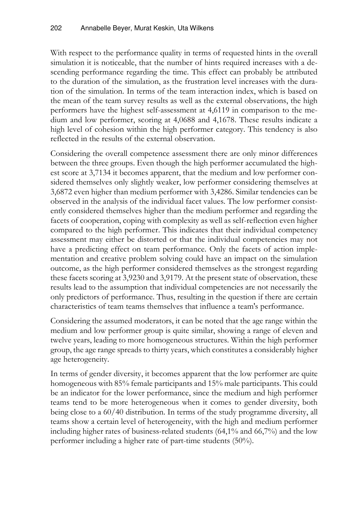With respect to the performance quality in terms of requested hints in the overall simulation it is noticeable, that the number of hints required increases with a descending performance regarding the time. This effect can probably be attributed to the duration of the simulation, as the frustration level increases with the duration of the simulation. In terms of the team interaction index, which is based on the mean of the team survey results as well as the external observations, the high performers have the highest self-assessment at 4,6119 in comparison to the medium and low performer, scoring at 4,0688 and 4,1678. These results indicate a high level of cohesion within the high performer category. This tendency is also reflected in the results of the external observation.

Considering the overall competence assessment there are only minor differences between the three groups. Even though the high performer accumulated the highest score at 3,7134 it becomes apparent, that the medium and low performer considered themselves only slightly weaker, low performer considering themselves at 3,6872 even higher than medium performer with 3,4286. Similar tendencies can be observed in the analysis of the individual facet values. The low performer consistently considered themselves higher than the medium performer and regarding the facets of cooperation, coping with complexity as well as self-reflection even higher compared to the high performer. This indicates that their individual competency assessment may either be distorted or that the individual competencies may not have a predicting effect on team performance. Only the facets of action implementation and creative problem solving could have an impact on the simulation outcome, as the high performer considered themselves as the strongest regarding these facets scoring at 3,9230 and 3,9179. At the present state of observation, these results lead to the assumption that individual competencies are not necessarily the only predictors of performance. Thus, resulting in the question if there are certain characteristics of team teams themselves that influence a team's performance.

Considering the assumed moderators, it can be noted that the age range within the medium and low performer group is quite similar, showing a range of eleven and twelve years, leading to more homogeneous structures. Within the high performer group, the age range spreads to thirty years, which constitutes a considerably higher age heterogeneity.

In terms of gender diversity, it becomes apparent that the low performer are quite homogeneous with 85% female participants and 15% male participants. This could be an indicator for the lower performance, since the medium and high performer teams tend to be more heterogeneous when it comes to gender diversity, both being close to a 60/40 distribution. In terms of the study programme diversity, all teams show a certain level of heterogeneity, with the high and medium performer including higher rates of business-related students (64,1% and 66,7%) and the low performer including a higher rate of part-time students (50%).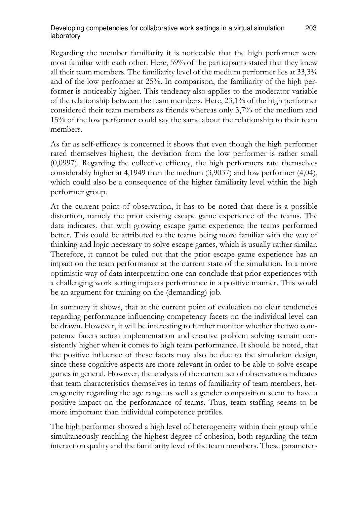#### Developing competencies for collaborative work settings in a virtual simulation 203 laboratory

Regarding the member familiarity it is noticeable that the high performer were most familiar with each other. Here, 59% of the participants stated that they knew all their team members. The familiarity level of the medium performer lies at 33,3% and of the low performer at 25%. In comparison, the familiarity of the high performer is noticeably higher. This tendency also applies to the moderator variable of the relationship between the team members. Here, 23,1% of the high performer considered their team members as friends whereas only 3,7% of the medium and 15% of the low performer could say the same about the relationship to their team members.

As far as self-efficacy is concerned it shows that even though the high performer rated themselves highest, the deviation from the low performer is rather small (0,0997). Regarding the collective efficacy, the high performers rate themselves considerably higher at 4,1949 than the medium (3,9037) and low performer (4,04), which could also be a consequence of the higher familiarity level within the high performer group.

At the current point of observation, it has to be noted that there is a possible distortion, namely the prior existing escape game experience of the teams. The data indicates, that with growing escape game experience the teams performed better. This could be attributed to the teams being more familiar with the way of thinking and logic necessary to solve escape games, which is usually rather similar. Therefore, it cannot be ruled out that the prior escape game experience has an impact on the team performance at the current state of the simulation. In a more optimistic way of data interpretation one can conclude that prior experiences with a challenging work setting impacts performance in a positive manner. This would be an argument for training on the (demanding) job.

In summary it shows, that at the current point of evaluation no clear tendencies regarding performance influencing competency facets on the individual level can be drawn. However, it will be interesting to further monitor whether the two competence facets action implementation and creative problem solving remain consistently higher when it comes to high team performance. It should be noted, that the positive influence of these facets may also be due to the simulation design, since these cognitive aspects are more relevant in order to be able to solve escape games in general. However, the analysis of the current set of observations indicates that team characteristics themselves in terms of familiarity of team members, heterogeneity regarding the age range as well as gender composition seem to have a positive impact on the performance of teams. Thus, team staffing seems to be more important than individual competence profiles.

The high performer showed a high level of heterogeneity within their group while simultaneously reaching the highest degree of cohesion, both regarding the team interaction quality and the familiarity level of the team members. These parameters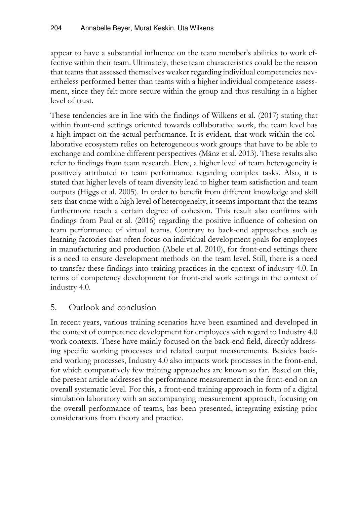appear to have a substantial influence on the team member's abilities to work effective within their team. Ultimately, these team characteristics could be the reason that teams that assessed themselves weaker regarding individual competencies nevertheless performed better than teams with a higher individual competence assessment, since they felt more secure within the group and thus resulting in a higher level of trust.

These tendencies are in line with the findings of Wilkens et al. (2017) stating that within front-end settings oriented towards collaborative work, the team level has a high impact on the actual performance. It is evident, that work within the collaborative ecosystem relies on heterogeneous work groups that have to be able to exchange and combine different perspectives (Mänz et al. 2013). These results also refer to findings from team research. Here, a higher level of team heterogeneity is positively attributed to team performance regarding complex tasks. Also, it is stated that higher levels of team diversity lead to higher team satisfaction and team outputs (Higgs et al. 2005). In order to benefit from different knowledge and skill sets that come with a high level of heterogeneity, it seems important that the teams furthermore reach a certain degree of cohesion. This result also confirms with findings from Paul et al. (2016) regarding the positive influence of cohesion on team performance of virtual teams. Contrary to back-end approaches such as learning factories that often focus on individual development goals for employees in manufacturing and production (Abele et al. 2010), for front-end settings there is a need to ensure development methods on the team level. Still, there is a need to transfer these findings into training practices in the context of industry 4.0. In terms of competency development for front-end work settings in the context of industry 4.0.

### 5. Outlook and conclusion

In recent years, various training scenarios have been examined and developed in the context of competence development for employees with regard to Industry 4.0 work contexts. These have mainly focused on the back-end field, directly addressing specific working processes and related output measurements. Besides backend working processes, Industry 4.0 also impacts work processes in the front-end, for which comparatively few training approaches are known so far. Based on this, the present article addresses the performance measurement in the front-end on an overall systematic level. For this, a front-end training approach in form of a digital simulation laboratory with an accompanying measurement approach, focusing on the overall performance of teams, has been presented, integrating existing prior considerations from theory and practice.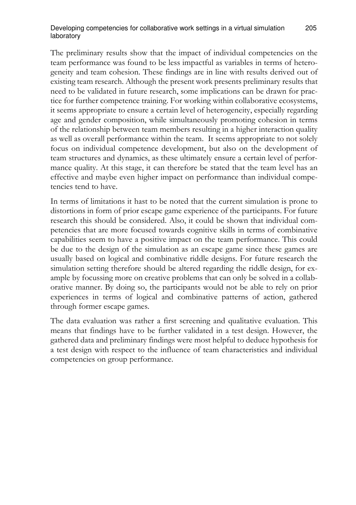#### Developing competencies for collaborative work settings in a virtual simulation 205 laboratory

The preliminary results show that the impact of individual competencies on the team performance was found to be less impactful as variables in terms of heterogeneity and team cohesion. These findings are in line with results derived out of existing team research. Although the present work presents preliminary results that need to be validated in future research, some implications can be drawn for practice for further competence training. For working within collaborative ecosystems, it seems appropriate to ensure a certain level of heterogeneity, especially regarding age and gender composition, while simultaneously promoting cohesion in terms of the relationship between team members resulting in a higher interaction quality as well as overall performance within the team. It seems appropriate to not solely focus on individual competence development, but also on the development of team structures and dynamics, as these ultimately ensure a certain level of performance quality. At this stage, it can therefore be stated that the team level has an effective and maybe even higher impact on performance than individual competencies tend to have.

In terms of limitations it hast to be noted that the current simulation is prone to distortions in form of prior escape game experience of the participants. For future research this should be considered. Also, it could be shown that individual competencies that are more focused towards cognitive skills in terms of combinative capabilities seem to have a positive impact on the team performance. This could be due to the design of the simulation as an escape game since these games are usually based on logical and combinative riddle designs. For future research the simulation setting therefore should be altered regarding the riddle design, for example by focussing more on creative problems that can only be solved in a collaborative manner. By doing so, the participants would not be able to rely on prior experiences in terms of logical and combinative patterns of action, gathered through former escape games.

The data evaluation was rather a first screening and qualitative evaluation. This means that findings have to be further validated in a test design. However, the gathered data and preliminary findings were most helpful to deduce hypothesis for a test design with respect to the influence of team characteristics and individual competencies on group performance.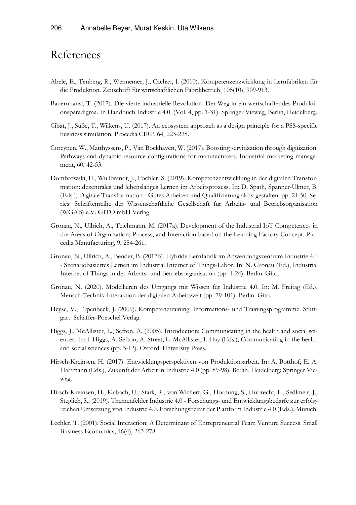# References

- Abele, E., Tenberg, R., Wennemer, J., Cachay, J. (2010). Kompetenzenzwicklung in Lernfabriken für die Produktion. Zeitschrift für wirtschaftlichen Fabrikbetrieb, 105(10), 909-913.
- Bauernhansl, T. (2017). Die vierte industrielle Revolution–Der Weg in ein wertschaffendes Produktionsparadigma. In Handbuch Industrie 4.0. (Vol. 4, pp. 1-31). Springer Vieweg, Berlin, Heidelberg.
- Cibat, J., Süße, T., Wilkens, U. (2017). An ecosystem approach as a design principle for a PSS-specific business simulation. Procedia CIRP, 64, 223-228.
- Coreynen, W., Matthyssens, P., Van Bockhaven, W. (2017). Boosting servitization through digitization: Pathways and dynamic resource configurations for manufacturers. Industrial marketing management, 60, 42-53.
- Dombrowski, U., Wullbrandt, J., Fochler, S. (2019). Kompetenzentwicklung in der digitalen Transformation: dezentrales und lebenslanges Lernen im Arbeitsprozess. In: D. Spath, Spanner-Ulmer, B. (Eds.), Digitale Transformation - Gutes Arbeiten und Qualifizierung aktiv gestalten. pp. 21-50. Series: Schriftenreihe der Wissenschaftliche Gesellschaft für Arbeits- und Betriebsorganisation (WGAB) e.V. GITO mbH Verlag.
- Gronau, N., Ullrich, A., Teichmann, M. (2017a). Development of the Industrial IoT Competences in the Areas of Organization, Process, and Interaction based on the Learning Factory Concept. Procedia Manufacturing, 9, 254-261.
- Gronau, N., Ullrich, A., Bender, B. (2017b). Hybride Lernfabrik im Anwendungszentrum Industrie 4.0 - Szenariobasiertes Lernen im Industrial Internet of Things-Labor. In: N. Gronau (Ed.), Industrial Internet of Things in der Arbeits- und Betriebsorganisation (pp. 1-24). Berlin: Gito.
- Gronau, N. (2020). Modellieren des Umgangs mit Wissen für Industrie 4.0. In: M. Freitag (Ed.), Mensch-Technik-Interaktion der digitalen Arbeitswelt (pp. 79-101). Berlin: Gito.
- Heyse, V., Erpenbeck, J. (2009). Kompetenztraining: Informations- und Trainingsprogramme. Stuttgart: Schäffer-Poeschel Verlag.
- Higgs, J., McAllister, L., Sefton, A. (2005). Introduction: Communicating in the health and social sciences. In: J. Higgs, A. Sefton, A. Street, L. McAllister, I. Hay (Eds.), Communicating in the health and social sciences (pp. 3-12). Oxford: University Press.
- Hirsch-Kreinsen, H. (2017). Entwicklungsperspektiven von Produktionsarbeit. In: A. Botthof, E. A. Hartmann (Eds.), Zukunft der Arbeit in Industrie 4.0 (pp. 89-98). Berlin, Heidelberg: Springer Vieweg.
- Hirsch-Kreinsen, H., Kubach, U., Stark, R., von Wichert, G., Hornung, S., Hubrecht, L., Sedlmeir, J., Steglich, S., (2019). Themenfelder Industrie 4.0 - Forschungs- und Entwicklungsbedarfe zur erfolgreichen Umsetzung von Industrie 4.0. Forschungsbeirat der Plattform Industrie 4.0 (Eds.). Munich.
- Lechler, T. (2001). Social Interaction: A Determinant of Entrepreneurial Team Venture Success. Small Business Economics, 16(4), 263-278.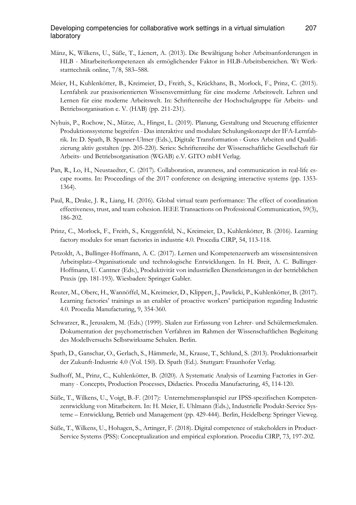#### Developing competencies for collaborative work settings in a virtual simulation 207 laboratory

- Mänz, K, Wilkens, U., Süße, T., Lienert, A. (2013). Die Bewältigung hoher Arbeitsanforderungen in HLB - Mitarbeiterkompetenzen als ermöglichender Faktor in HLB-Arbeitsbereichen. Wt Werkstatttechnik online, 7/8, 583–588.
- Meier, H., Kuhlenkötter, B., Kreimeier, D., Freith, S., Krückhans, B., Morlock, F., Prinz, C. (2015). Lernfabrik zur praxisorientierten Wissensvermittlung für eine moderne Arbeitswelt. Lehren und Lernen für eine moderne Arbeitswelt. In: Schriftenreihe der Hochschulgruppe für Arbeits- und Betriebsorganisation e. V. (HAB) (pp. 211-231).
- Nyhuis, P., Rochow, N., Mütze, A., Hingst, L. (2019). Planung, Gestaltung und Steuerung effizienter Produktionssysteme begreifen - Das interaktive und modulare Schulungskonzept der IFA-Lernfabrik. In: D. Spath, B. Spanner-Ulmer (Eds.), Digitale Transformation - Gutes Arbeiten und Qualifizierung aktiv gestalten (pp. 205-220). Series: Schriftenreihe der Wissenschaftliche Gesellschaft für Arbeits- und Betriebsorganisation (WGAB) e.V. GITO mbH Verlag.
- Pan, R., Lo, H., Neustaedter, C. (2017). Collaboration, awareness, and communication in real-life escape rooms. In: Proceedings of the 2017 conference on designing interactive systems (pp. 1353- 1364).
- Paul, R., Drake, J. R., Liang, H. (2016). Global virtual team performance: The effect of coordination effectiveness, trust, and team cohesion. IEEE Transactions on Professional Communication, 59(3), 186-202.
- Prinz, C., Morlock, F., Freith, S., Kreggenfeld, N., Kreimeier, D., Kuhlenkötter, B. (2016). Learning factory modules for smart factories in industrie 4.0. Procedia CIRP, 54, 113-118.
- Petzoldt, A., Bullinger-Hoffmann, A. C. (2017). Lernen und Kompetenzerwerb am wissensintensiven Arbeitsplatz–Organisationale und technologische Entwicklungen. In H. Breit, A. C. Bullinger-Hoffmann, U. Cantner (Eds.), Produktivität von industriellen Dienstleistungen in der betrieblichen Praxis (pp. 181-193). Wiesbaden: Springer Gabler.
- Reuter, M., Oberc, H., Wannöffel, M., Kreimeier, D., Klippert, J., Pawlicki, P., Kuhlenkötter, B. (2017). Learning factories' trainings as an enabler of proactive workers' participation regarding Industrie 4.0. Procedia Manufacturing, 9, 354-360.
- Schwarzer, R., Jerusalem, M. (Eds.) (1999). Skalen zur Erfassung von Lehrer- und Schülermerkmalen. Dokumentation der psychometrischen Verfahren im Rahmen der Wissenschaftlichen Begleitung des Modellversuchs Selbstwirksame Schulen. Berlin.
- Spath, D., Ganschar, O., Gerlach, S., Hämmerle, M., Krause, T., Schlund, S. (2013). Produktionsarbeit der Zukunft-Industrie 4.0 (Vol. 150). D. Spath (Ed.). Stuttgart: Fraunhofer Verlag.
- Sudhoff, M., Prinz, C., Kuhlenkötter, B. (2020). A Systematic Analysis of Learning Factories in Germany - Concepts, Production Processes, Didactics. Procedia Manufacturing, 45, 114-120.
- Süße, T., Wilkens, U., Voigt, B.-F. (2017): Unternehmensplanspiel zur IPSS-spezifischen Kompetenzentwicklung von Mitarbeitern. In: H. Meier, E. Uhlmann (Eds.), Industrielle Produkt-Service Systeme – Entwicklung, Betrieb und Management (pp. 429-444). Berlin, Heidelberg: Springer Vieweg.
- Süße, T., Wilkens, U., Hohagen, S., Artinger, F. (2018). Digital competence of stakeholders in Product-Service Systems (PSS): Conceptualization and empirical exploration. Procedia CIRP, 73, 197-202.